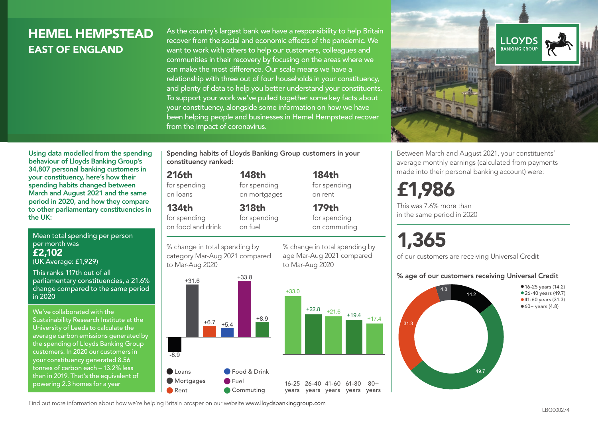## HEMEL HEMPSTEAD EAST OF ENGLAND

As the country's largest bank we have a responsibility to help Britain recover from the social and economic effects of the pandemic. We want to work with others to help our customers, colleagues and communities in their recovery by focusing on the areas where we can make the most difference. Our scale means we have a relationship with three out of four households in your constituency, and plenty of data to help you better understand your constituents. To support your work we've pulled together some key facts about your constituency, alongside some information on how we have been helping people and businesses in Hemel Hempstead recover from the impact of coronavirus.



Between March and August 2021, your constituents' average monthly earnings (calculated from payments made into their personal banking account) were:

## £1,986

This was 7.6% more than in the same period in 2020

# 1,365

of our customers are receiving Universal Credit

#### % age of our customers receiving Universal Credit



Using data modelled from the spending behaviour of Lloyds Banking Group's 34,807 personal banking customers in your constituency, here's how their spending habits changed between March and August 2021 and the same period in 2020, and how they compare to other parliamentary constituencies in the UK:

Mean total spending per person per month was £2,102 (UK Average: £1,929)

This ranks 117th out of all parliamentary constituencies, a 21.6% change compared to the same period in 2020

We've collaborated with the Sustainability Research Institute at the University of Leeds to calculate the average carbon emissions generated by the spending of Lloyds Banking Group customers. In 2020 our customers in your constituency generated 8.56 tonnes of carbon each – 13.2% less than in 2019. That's the equivalent of powering 2.3 homes for a year

Spending habits of Lloyds Banking Group customers in your constituency ranked:

> 148th for spending on mortgages

318th for spending

#### 216th

for spending on loans

## 134th

for spending on food and drink

on fuel

% change in total spending by category Mar-Aug 2021 compared to Mar-Aug 2020



% change in total spending by age Mar-Aug 2021 compared to Mar-Aug 2020

184th



 $80+$